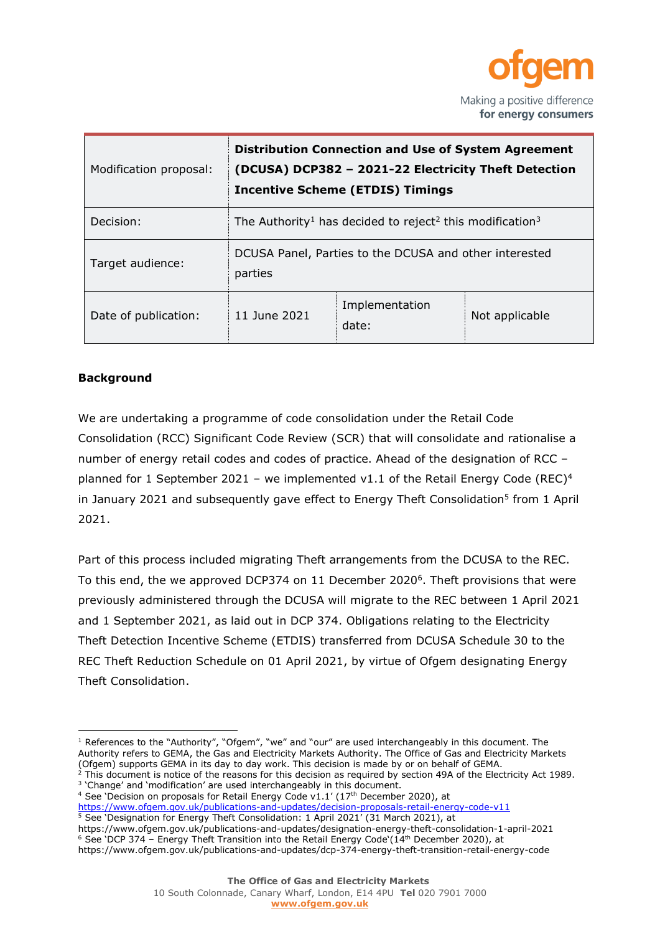

| Modification proposal: | <b>Distribution Connection and Use of System Agreement</b><br>(DCUSA) DCP382 - 2021-22 Electricity Theft Detection<br><b>Incentive Scheme (ETDIS) Timings</b> |                         |                |  |  |  |  |  |
|------------------------|---------------------------------------------------------------------------------------------------------------------------------------------------------------|-------------------------|----------------|--|--|--|--|--|
| Decision:              | The Authority <sup>1</sup> has decided to reject <sup>2</sup> this modification <sup>3</sup>                                                                  |                         |                |  |  |  |  |  |
| Target audience:       | DCUSA Panel, Parties to the DCUSA and other interested<br>parties                                                                                             |                         |                |  |  |  |  |  |
| Date of publication:   | 11 June 2021                                                                                                                                                  | Implementation<br>date: | Not applicable |  |  |  |  |  |

### **Background**

We are undertaking a programme of code consolidation under the Retail Code Consolidation (RCC) Significant Code Review (SCR) that will consolidate and rationalise a number of energy retail codes and codes of practice. Ahead of the designation of RCC – planned for 1 September 2021 – we implemented v1.1 of the Retail Energy Code (REC)<sup>4</sup> in January 2021 and subsequently gave effect to Energy Theft Consolidation<sup>5</sup> from 1 April 2021.

Part of this process included migrating Theft arrangements from the DCUSA to the REC. To this end, the we approved DCP374 on 11 December 2020<sup>6</sup>. Theft provisions that were previously administered through the DCUSA will migrate to the REC between 1 April 2021 and 1 September 2021, as laid out in DCP 374. Obligations relating to the Electricity Theft Detection Incentive Scheme (ETDIS) transferred from DCUSA Schedule 30 to the REC Theft Reduction Schedule on 01 April 2021, by virtue of Ofgem designating Energy Theft Consolidation.

<sup>4</sup> See `Decision on proposals for Retail Energy Code v1.1' (17<sup>th</sup> December 2020), at <https://www.ofgem.gov.uk/publications-and-updates/decision-proposals-retail-energy-code-v11>

<sup>5</sup> See 'Designation for Energy Theft Consolidation: 1 April 2021' (31 March 2021), at

https://www.ofgem.gov.uk/publications-and-updates/designation-energy-theft-consolidation-1-april-2021 <sup>6</sup> See 'DCP 374 – Energy Theft Transition into the Retail Energy Code'(14th December 2020), at https://www.ofgem.gov.uk/publications-and-updates/dcp-374-energy-theft-transition-retail-energy-code

 $<sup>1</sup>$  References to the "Authority", "Ofgem", "we" and "our" are used interchangeably in this document. The</sup> Authority refers to GEMA, the Gas and Electricity Markets Authority. The Office of Gas and Electricity Markets (Ofgem) supports GEMA in its day to day work. This decision is made by or on behalf of GEMA.

 $2$  This document is notice of the reasons for this decision as required by section 49A of the Electricity Act 1989. <sup>3</sup> 'Change' and 'modification' are used interchangeably in this document.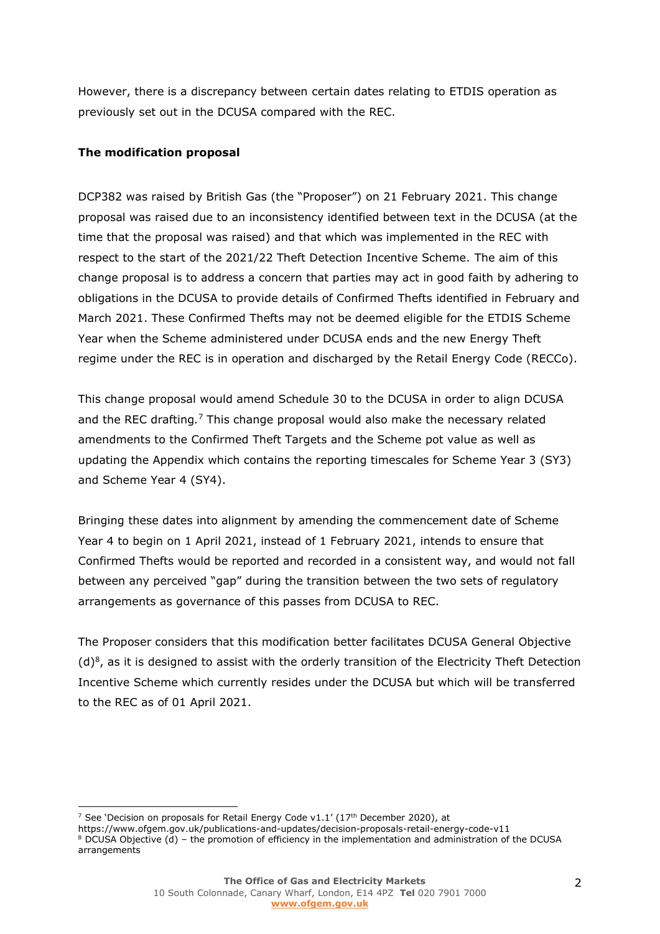However, there is a discrepancy between certain dates relating to ETDIS operation as previously set out in the DCUSA compared with the REC.

### **The modification proposal**

DCP382 was raised by British Gas (the "Proposer") on 21 February 2021. This change proposal was raised due to an inconsistency identified between text in the DCUSA (at the time that the proposal was raised) and that which was implemented in the REC with respect to the start of the 2021/22 Theft Detection Incentive Scheme. The aim of this change proposal is to address a concern that parties may act in good faith by adhering to obligations in the DCUSA to provide details of Confirmed Thefts identified in February and March 2021. These Confirmed Thefts may not be deemed eligible for the ETDIS Scheme Year when the Scheme administered under DCUSA ends and the new Energy Theft regime under the REC is in operation and discharged by the Retail Energy Code (RECCo).

This change proposal would amend Schedule 30 to the DCUSA in order to align DCUSA and the REC drafting*.* <sup>7</sup> This change proposal would also make the necessary related amendments to the Confirmed Theft Targets and the Scheme pot value as well as updating the Appendix which contains the reporting timescales for Scheme Year 3 (SY3) and Scheme Year 4 (SY4).

Bringing these dates into alignment by amending the commencement date of Scheme Year 4 to begin on 1 April 2021, instead of 1 February 2021, intends to ensure that Confirmed Thefts would be reported and recorded in a consistent way, and would not fall between any perceived "gap" during the transition between the two sets of regulatory arrangements as governance of this passes from DCUSA to REC.

The Proposer considers that this modification better facilitates DCUSA General Objective (d)<sup>8</sup>, as it is designed to assist with the orderly transition of the Electricity Theft Detection Incentive Scheme which currently resides under the DCUSA but which will be transferred to the REC as of 01 April 2021.

<sup>&</sup>lt;sup>7</sup> See 'Decision on proposals for Retail Energy Code v1.1' (17<sup>th</sup> December 2020), at

https://www.ofgem.gov.uk/publications-and-updates/decision-proposals-retail-energy-code-v11 <sup>8</sup> DCUSA Objective (d) – the promotion of efficiency in the implementation and administration of the DCUSA arrangements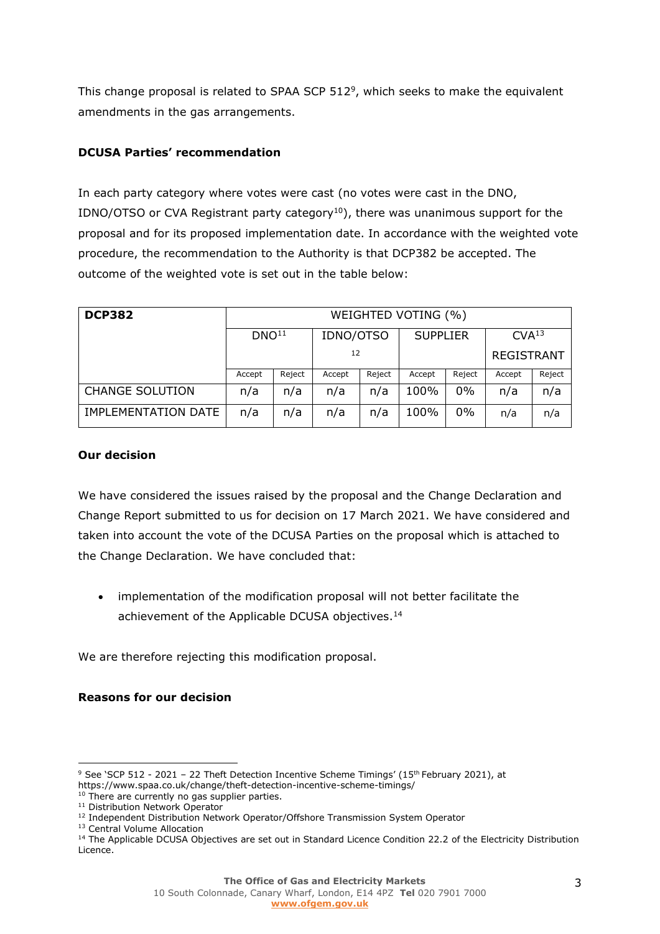This change proposal is related to SPAA SCP 512<sup>9</sup>, which seeks to make the equivalent amendments in the gas arrangements.

## **DCUSA Parties' recommendation**

In each party category where votes were cast (no votes were cast in the DNO, IDNO/OTSO or CVA Registrant party category<sup>10</sup>), there was unanimous support for the proposal and for its proposed implementation date. In accordance with the weighted vote procedure, the recommendation to the Authority is that DCP382 be accepted. The outcome of the weighted vote is set out in the table below:

| <b>DCP382</b>              | WEIGHTED VOTING (%) |        |           |        |                 |        |                   |        |  |
|----------------------------|---------------------|--------|-----------|--------|-----------------|--------|-------------------|--------|--|
|                            | DNO <sup>11</sup>   |        | IDNO/OTSO |        | <b>SUPPLIER</b> |        | CVA <sup>13</sup> |        |  |
|                            |                     |        | 12        |        |                 |        | <b>REGISTRANT</b> |        |  |
|                            | Accept              | Reject | Accept    | Reject | Accept          | Reject | Accept            | Reject |  |
| <b>CHANGE SOLUTION</b>     | n/a                 | n/a    | n/a       | n/a    | 100%            | $0\%$  | n/a               | n/a    |  |
| <b>IMPLEMENTATION DATE</b> | n/a                 | n/a    | n/a       | n/a    | 100%            | $0\%$  | n/a               | n/a    |  |

### **Our decision**

We have considered the issues raised by the proposal and the Change Declaration and Change Report submitted to us for decision on 17 March 2021. We have considered and taken into account the vote of the DCUSA Parties on the proposal which is attached to the Change Declaration. We have concluded that:

• implementation of the modification proposal will not better facilitate the achievement of the Applicable DCUSA objectives.<sup>14</sup>

We are therefore rejecting this modification proposal.

### **Reasons for our decision**

<sup>13</sup> Central Volume Allocation

<sup>&</sup>lt;sup>9</sup> See 'SCP 512 - 2021 - 22 Theft Detection Incentive Scheme Timings' (15<sup>th</sup> February 2021), at https://www.spaa.co.uk/change/theft-detection-incentive-scheme-timings/

<sup>&</sup>lt;sup>10</sup> There are currently no gas supplier parties. <sup>11</sup> Distribution Network Operator

<sup>&</sup>lt;sup>12</sup> Independent Distribution Network Operator/Offshore Transmission System Operator

<sup>&</sup>lt;sup>14</sup> The Applicable DCUSA Objectives are set out in Standard Licence Condition 22.2 of the Electricity Distribution Licence.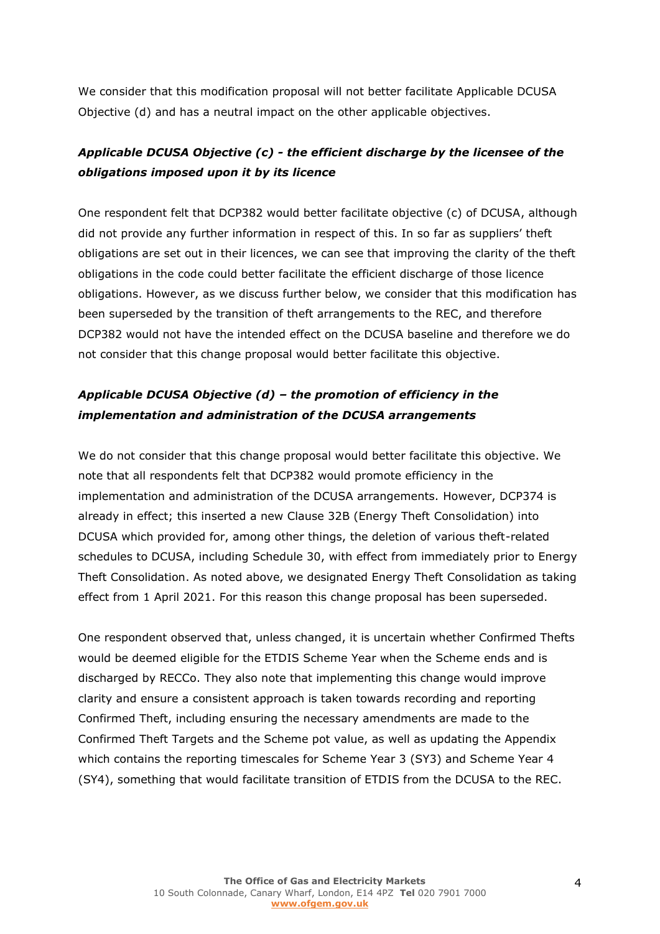We consider that this modification proposal will not better facilitate Applicable DCUSA Objective (d) and has a neutral impact on the other applicable objectives.

## *Applicable DCUSA Objective (c) - the efficient discharge by the licensee of the obligations imposed upon it by its licence*

One respondent felt that DCP382 would better facilitate objective (c) of DCUSA, although did not provide any further information in respect of this. In so far as suppliers' theft obligations are set out in their licences, we can see that improving the clarity of the theft obligations in the code could better facilitate the efficient discharge of those licence obligations. However, as we discuss further below, we consider that this modification has been superseded by the transition of theft arrangements to the REC, and therefore DCP382 would not have the intended effect on the DCUSA baseline and therefore we do not consider that this change proposal would better facilitate this objective.

# *Applicable DCUSA Objective (d) – the promotion of efficiency in the implementation and administration of the DCUSA arrangements*

We do not consider that this change proposal would better facilitate this objective. We note that all respondents felt that DCP382 would promote efficiency in the implementation and administration of the DCUSA arrangements. However, DCP374 is already in effect; this inserted a new Clause 32B (Energy Theft Consolidation) into DCUSA which provided for, among other things, the deletion of various theft-related schedules to DCUSA, including Schedule 30, with effect from immediately prior to Energy Theft Consolidation. As noted above, we designated Energy Theft Consolidation as taking effect from 1 April 2021. For this reason this change proposal has been superseded.

One respondent observed that, unless changed, it is uncertain whether Confirmed Thefts would be deemed eligible for the ETDIS Scheme Year when the Scheme ends and is discharged by RECCo. They also note that implementing this change would improve clarity and ensure a consistent approach is taken towards recording and reporting Confirmed Theft, including ensuring the necessary amendments are made to the Confirmed Theft Targets and the Scheme pot value, as well as updating the Appendix which contains the reporting timescales for Scheme Year 3 (SY3) and Scheme Year 4 (SY4), something that would facilitate transition of ETDIS from the DCUSA to the REC.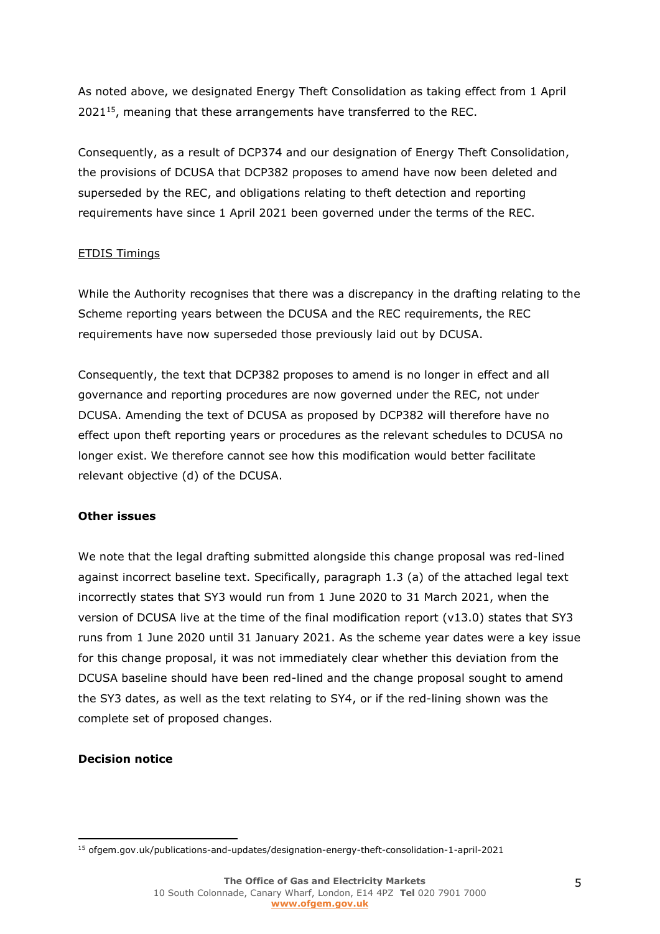As noted above, we designated Energy Theft Consolidation as taking effect from 1 April 2021<sup>15</sup> , meaning that these arrangements have transferred to the REC.

Consequently, as a result of DCP374 and our designation of Energy Theft Consolidation, the provisions of DCUSA that DCP382 proposes to amend have now been deleted and superseded by the REC, and obligations relating to theft detection and reporting requirements have since 1 April 2021 been governed under the terms of the REC.

## ETDIS Timings

While the Authority recognises that there was a discrepancy in the drafting relating to the Scheme reporting years between the DCUSA and the REC requirements, the REC requirements have now superseded those previously laid out by DCUSA.

Consequently, the text that DCP382 proposes to amend is no longer in effect and all governance and reporting procedures are now governed under the REC, not under DCUSA. Amending the text of DCUSA as proposed by DCP382 will therefore have no effect upon theft reporting years or procedures as the relevant schedules to DCUSA no longer exist. We therefore cannot see how this modification would better facilitate relevant objective (d) of the DCUSA.

### **Other issues**

We note that the legal drafting submitted alongside this change proposal was red-lined against incorrect baseline text. Specifically, paragraph 1.3 (a) of the attached legal text incorrectly states that SY3 would run from 1 June 2020 to 31 March 2021, when the version of DCUSA live at the time of the final modification report (v13.0) states that SY3 runs from 1 June 2020 until 31 January 2021. As the scheme year dates were a key issue for this change proposal, it was not immediately clear whether this deviation from the DCUSA baseline should have been red-lined and the change proposal sought to amend the SY3 dates, as well as the text relating to SY4, or if the red-lining shown was the complete set of proposed changes.

### **Decision notice**

<sup>15</sup> ofgem.gov.uk/publications-and-updates/designation-energy-theft-consolidation-1-april-2021